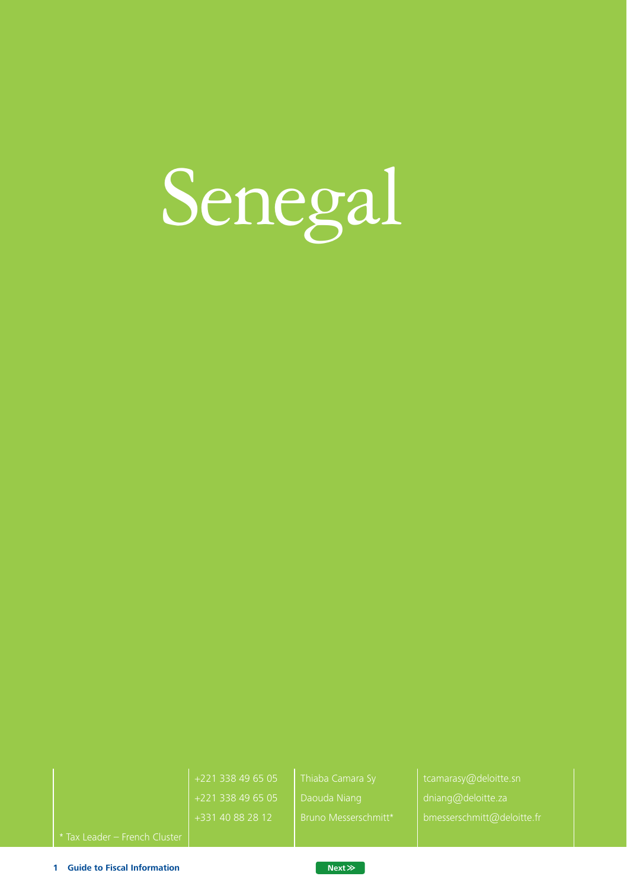

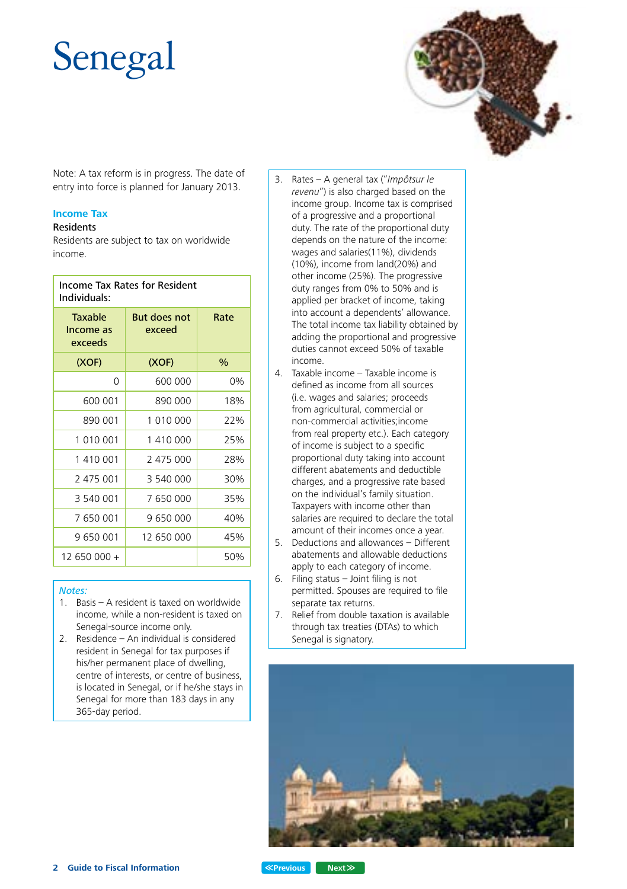# Senegal



Note: A tax reform is in progress. The date of entry into force is planned for January 2013.

#### **Income Tax**

### Residents

Residents are subject to tax on worldwide income.

| Income Tax Rates for Resident<br>Individuals: |                               |      |  |  |  |  |
|-----------------------------------------------|-------------------------------|------|--|--|--|--|
| <b>Taxable</b><br>Income as<br>exceeds        | <b>But does not</b><br>exceed | Rate |  |  |  |  |
| (XOF)                                         | (XOF)                         | $\%$ |  |  |  |  |
| 0                                             | 600 000                       | 0%   |  |  |  |  |
| 600 001                                       | 890 000                       | 18%  |  |  |  |  |
| 890 001                                       | 1 010 000                     | 22%  |  |  |  |  |
| 1 010 001                                     | 1410000                       | 25%  |  |  |  |  |
| 1 410 001                                     | 2 475 000                     | 28%  |  |  |  |  |
| 2 475 001                                     | 3 540 000                     | 30%  |  |  |  |  |
| 3 540 001                                     | 7 650 000                     | 35%  |  |  |  |  |
| 7 650 001                                     | 9 650 000                     | 40%  |  |  |  |  |
| 9 650 001                                     | 12 650 000                    | 45%  |  |  |  |  |
| 12 650 000 +                                  |                               | 50%  |  |  |  |  |
|                                               |                               |      |  |  |  |  |

#### *Notes:*

- 1. Basis A resident is taxed on worldwide income, while a non-resident is taxed on Senegal-source income only.
- 2. Residence An individual is considered resident in Senegal for tax purposes if his/her permanent place of dwelling, centre of interests, or centre of business, is located in Senegal, or if he/she stays in Senegal for more than 183 days in any 365-day period.
- 3. Rates A general tax ("*Impôtsur le revenu*") is also charged based on the income group. Income tax is comprised of a progressive and a proportional duty. The rate of the proportional duty depends on the nature of the income: wages and salaries(11%), dividends (10%), income from land(20%) and other income (25%). The progressive duty ranges from 0% to 50% and is applied per bracket of income, taking into account a dependents' allowance. The total income tax liability obtained by adding the proportional and progressive duties cannot exceed 50% of taxable income.
- 4. Taxable income Taxable income is defined as income from all sources (i.e. wages and salaries; proceeds from agricultural, commercial or non-commercial activities;income from real property etc.). Each category of income is subject to a specific proportional duty taking into account different abatements and deductible charges, and a progressive rate based on the individual's family situation. Taxpayers with income other than salaries are required to declare the total amount of their incomes once a year.
- 5. Deductions and allowances Different abatements and allowable deductions apply to each category of income.
- 6. Filing status Joint filing is not permitted. Spouses are required to file separate tax returns.
- 7. Relief from double taxation is available through tax treaties (DTAs) to which Senegal is signatory.

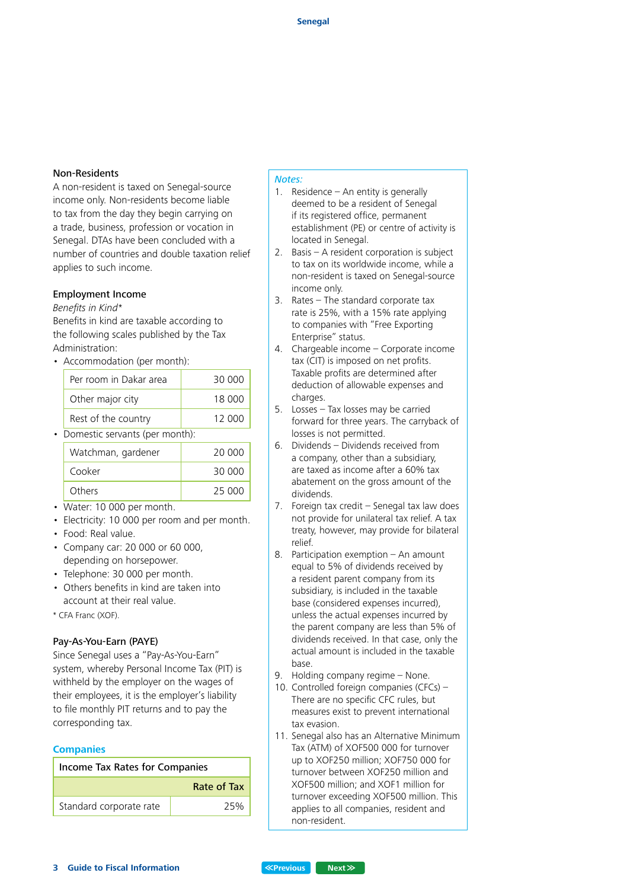#### Non-Residents

A non-resident is taxed on Senegal-source income only. Non-residents become liable to tax from the day they begin carrying on a trade, business, profession or vocation in Senegal. DTAs have been concluded with a number of countries and double taxation relief applies to such income.

#### Employment Income

#### *Benefits in Kind\**

Benefits in kind are taxable according to the following scales published by the Tax Administration:

• Accommodation (per month):

| Per room in Dakar area | 30 000 |
|------------------------|--------|
| Other major city       | 18 000 |
| Rest of the country    | 12 000 |
|                        |        |

• Domestic servants (per month):

| Watchman, gardener | 20,000 |
|--------------------|--------|
| Cooker             | 30,000 |
| Others             | 25 000 |

- Water: 10 000 per month.
- Electricity: 10 000 per room and per month.
- Food: Real value.
- Company car: 20 000 or 60 000, depending on horsepower.
- Telephone: 30 000 per month.
- Others benefits in kind are taken into account at their real value.
- \* CFA Franc (XOF).

#### Pay-As-You-Earn (PAYE)

Since Senegal uses a "Pay-As-You-Earn" system, whereby Personal Income Tax (PIT) is withheld by the employer on the wages of their employees, it is the employer's liability to file monthly PIT returns and to pay the corresponding tax.

#### **Companies**

| <b>Income Tax Rates for Companies</b> |             |  |  |  |  |
|---------------------------------------|-------------|--|--|--|--|
|                                       | Rate of Tax |  |  |  |  |
| Standard corporate rate               | 25%         |  |  |  |  |

#### *Notes:*

- 1. Residence An entity is generally deemed to be a resident of Senegal if its registered office, permanent establishment (PE) or centre of activity is located in Senegal.
- 2. Basis A resident corporation is subject to tax on its worldwide income, while a non-resident is taxed on Senegal-source income only.
- 3. Rates The standard corporate tax rate is 25%, with a 15% rate applying to companies with "Free Exporting Enterprise" status.
- 4. Chargeable income Corporate income tax (CIT) is imposed on net profits. Taxable profits are determined after deduction of allowable expenses and charges.
- 5. Losses Tax losses may be carried forward for three years. The carryback of losses is not permitted.
- 6. Dividends Dividends received from a company, other than a subsidiary, are taxed as income after a 60% tax abatement on the gross amount of the dividends.
- 7. Foreign tax credit Senegal tax law does not provide for unilateral tax relief. A tax treaty, however, may provide for bilateral relief.
- 8. Participation exemption An amount equal to 5% of dividends received by a resident parent company from its subsidiary, is included in the taxable base (considered expenses incurred), unless the actual expenses incurred by the parent company are less than 5% of dividends received. In that case, only the actual amount is included in the taxable base.
- 9. Holding company regime None.
- 10. Controlled foreign companies (CFCs) -There are no specific CFC rules, but measures exist to prevent international tax evasion.
- 11. Senegal also has an Alternative Minimum Tax (ATM) of XOF500 000 for turnover up to XOF250 million; XOF750 000 for turnover between XOF250 million and XOF500 million; and XOF1 million for turnover exceeding XOF500 million. This applies to all companies, resident and non-resident.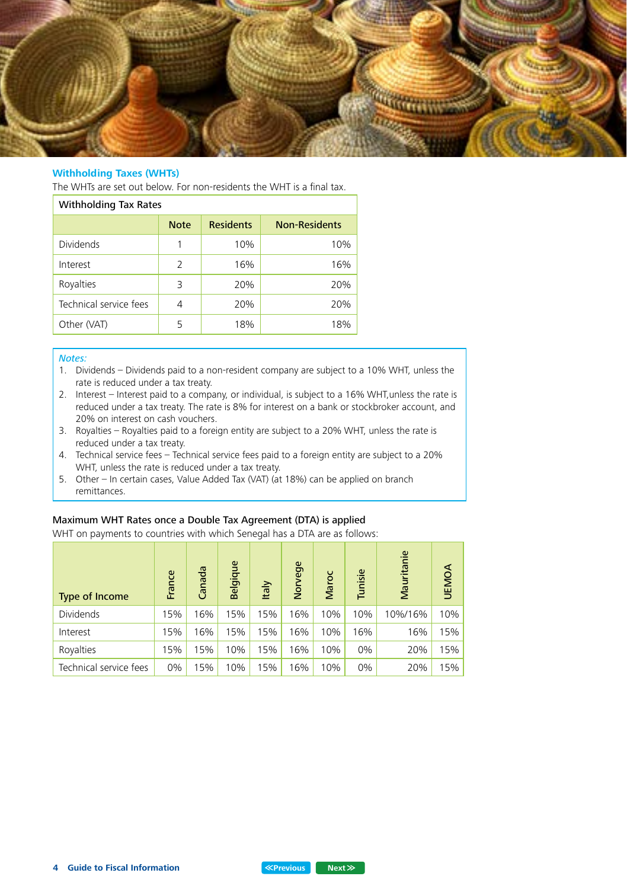

#### **Withholding Taxes (WHTs)**

The WHTs are set out below. For non-residents the WHT is a final tax.

| <b>Withholding Tax Rates</b> |             |                  |                      |  |  |  |
|------------------------------|-------------|------------------|----------------------|--|--|--|
|                              | <b>Note</b> | <b>Residents</b> | <b>Non-Residents</b> |  |  |  |
| <b>Dividends</b>             | 1           | 10%              | 10%                  |  |  |  |
| Interest                     | 2           | 16%              | 16%                  |  |  |  |
| Royalties                    | 3           | 20%              | 20%                  |  |  |  |
| Technical service fees       | 4           | 20%              | 20%                  |  |  |  |
| Other (VAT)                  | 5           | 18%              | 18%                  |  |  |  |

#### *Notes:*

- 1. Dividends Dividends paid to a non-resident company are subject to a 10% WHT, unless the rate is reduced under a tax treaty.
- 2. Interest Interest paid to a company, or individual, is subject to a 16% WHT,unless the rate is reduced under a tax treaty. The rate is 8% for interest on a bank or stockbroker account, and 20% on interest on cash vouchers.
- 3. Royalties Royalties paid to a foreign entity are subject to a 20% WHT, unless the rate is reduced under a tax treaty.
- 4. Technical service fees Technical service fees paid to a foreign entity are subject to a 20% WHT, unless the rate is reduced under a tax treaty.
- 5. Other In certain cases, Value Added Tax (VAT) (at 18%) can be applied on branch remittances.

#### Maximum WHT Rates once a Double Tax Agreement (DTA) is applied

WHT on payments to countries with which Senegal has a DTA are as follows:

| <b>Type of Income</b>  | France | Canada | Belgique | <b>Italy</b> | Norvege | Maroc | Tunisie | Mauritanie | <b>UEMOA</b> |
|------------------------|--------|--------|----------|--------------|---------|-------|---------|------------|--------------|
| <b>Dividends</b>       | 15%    | 16%    | 15%      | 15%          | 16%     | 10%   | 10%     | 10%/16%    | 10%          |
| Interest               | 15%    | 16%    | 15%      | 15%          | 16%     | 10%   | 16%     | 16%        | 15%          |
| Royalties              | 15%    | 15%    | 10%      | 15%          | 16%     | 10%   | 0%      | 20%        | 15%          |
| Technical service fees | 0%     | 15%    | 10%      | 15%          | 16%     | 10%   | 0%      | 20%        | 15%          |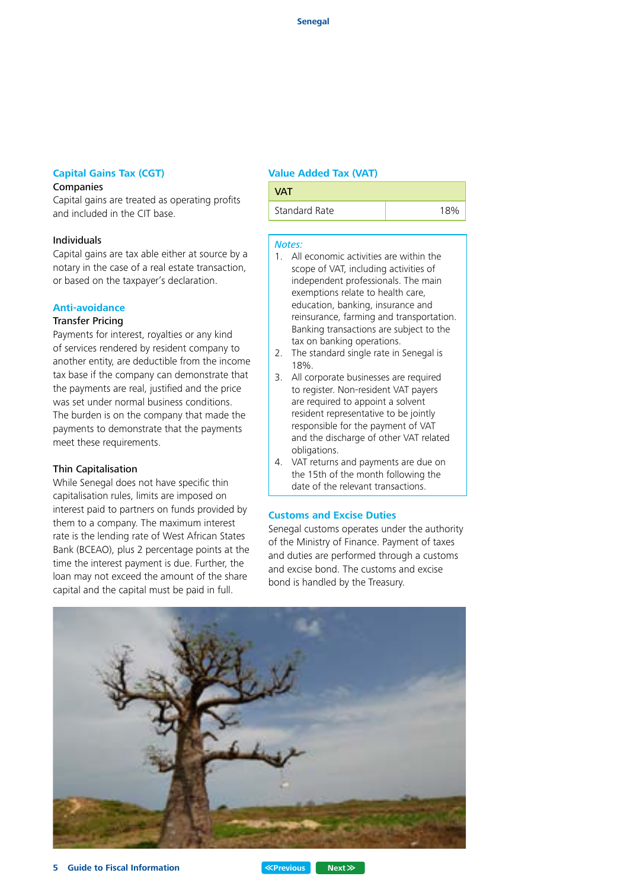#### **Capital Gains Tax (CGT)**

#### Companies

Capital gains are treated as operating profits and included in the CIT base.

#### Individuals

Capital gains are tax able either at source by a notary in the case of a real estate transaction, or based on the taxpayer's declaration.

### **Anti-avoidance**

#### Transfer Pricing

Payments for interest, royalties or any kind of services rendered by resident company to another entity, are deductible from the income tax base if the company can demonstrate that the payments are real, justified and the price was set under normal business conditions. The burden is on the company that made the payments to demonstrate that the payments meet these requirements.

#### Thin Capitalisation

While Senegal does not have specific thin capitalisation rules, limits are imposed on interest paid to partners on funds provided by them to a company. The maximum interest rate is the lending rate of West African States Bank (BCEAO), plus 2 percentage points at the time the interest payment is due. Further, the loan may not exceed the amount of the share capital and the capital must be paid in full.

#### **Value Added Tax (VAT)**



#### *Notes:*

- 1. All economic activities are within the scope of VAT, including activities of independent professionals. The main exemptions relate to health care, education, banking, insurance and reinsurance, farming and transportation. Banking transactions are subject to the tax on banking operations.
- 2. The standard single rate in Senegal is 18%.
- 3. All corporate businesses are required to register. Non-resident VAT payers are required to appoint a solvent resident representative to be jointly responsible for the payment of VAT and the discharge of other VAT related obligations.
- 4. VAT returns and payments are due on the 15th of the month following the date of the relevant transactions.

#### **Customs and Excise Duties**

Senegal customs operates under the authority of the Ministry of Finance. Payment of taxes and duties are performed through a customs and excise bond. The customs and excise bond is handled by the Treasury.

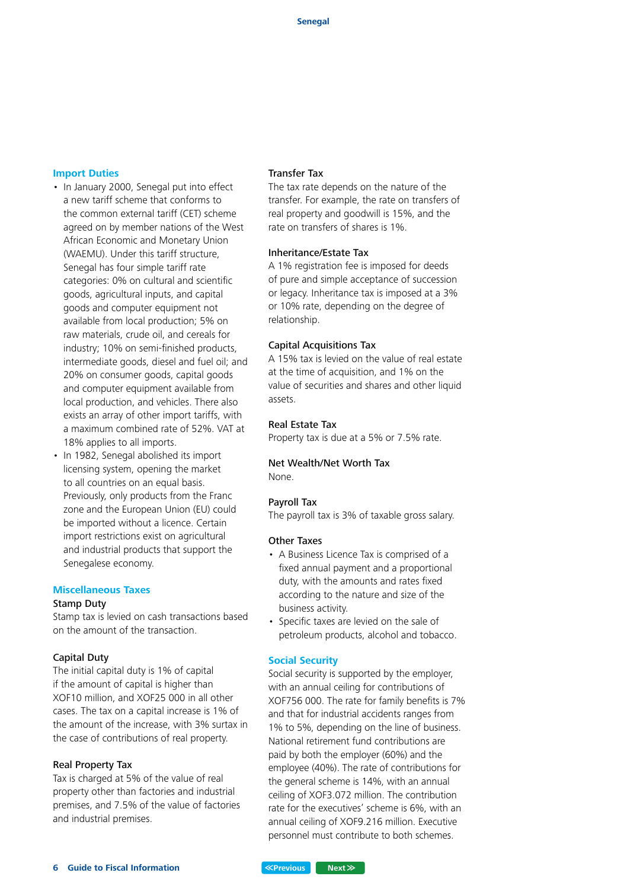#### **Import Duties**

- In January 2000, Senegal put into effect a new tariff scheme that conforms to the common external tariff (CET) scheme agreed on by member nations of the West African Economic and Monetary Union (WAEMU). Under this tariff structure, Senegal has four simple tariff rate categories: 0% on cultural and scientific goods, agricultural inputs, and capital goods and computer equipment not available from local production; 5% on raw materials, crude oil, and cereals for industry; 10% on semi-finished products, intermediate goods, diesel and fuel oil; and 20% on consumer goods, capital goods and computer equipment available from local production, and vehicles. There also exists an array of other import tariffs, with a maximum combined rate of 52%. VAT at 18% applies to all imports.
- In 1982, Senegal abolished its import licensing system, opening the market to all countries on an equal basis. Previously, only products from the Franc zone and the European Union (EU) could be imported without a licence. Certain import restrictions exist on agricultural and industrial products that support the Senegalese economy.

#### **Miscellaneous Taxes** Stamp Duty

Stamp tax is levied on cash transactions based on the amount of the transaction.

#### Capital Duty

The initial capital duty is 1% of capital if the amount of capital is higher than XOF10 million, and XOF25 000 in all other cases. The tax on a capital increase is 1% of the amount of the increase, with 3% surtax in the case of contributions of real property.

#### Real Property Tax

Tax is charged at 5% of the value of real property other than factories and industrial premises, and 7.5% of the value of factories and industrial premises.

#### Transfer Tax

The tax rate depends on the nature of the transfer. For example, the rate on transfers of real property and goodwill is 15%, and the rate on transfers of shares is 1%.

#### Inheritance/Estate Tax

A 1% registration fee is imposed for deeds of pure and simple acceptance of succession or legacy. Inheritance tax is imposed at a 3% or 10% rate, depending on the degree of relationship.

#### Capital Acquisitions Tax

A 15% tax is levied on the value of real estate at the time of acquisition, and 1% on the value of securities and shares and other liquid assets.

#### Real Estate Tax

Property tax is due at a 5% or 7.5% rate.

#### Net Wealth/Net Worth Tax None.

#### Payroll Tax

The payroll tax is 3% of taxable gross salary.

#### Other Taxes

- A Business Licence Tax is comprised of a fixed annual payment and a proportional duty, with the amounts and rates fixed according to the nature and size of the business activity.
- Specific taxes are levied on the sale of petroleum products, alcohol and tobacco.

#### **Social Security**

Social security is supported by the employer, with an annual ceiling for contributions of XOF756 000. The rate for family benefits is 7% and that for industrial accidents ranges from 1% to 5%, depending on the line of business. National retirement fund contributions are paid by both the employer (60%) and the employee (40%). The rate of contributions for the general scheme is 14%, with an annual ceiling of XOF3.072 million. The contribution rate for the executives' scheme is 6%, with an annual ceiling of XOF9.216 million. Executive personnel must contribute to both schemes.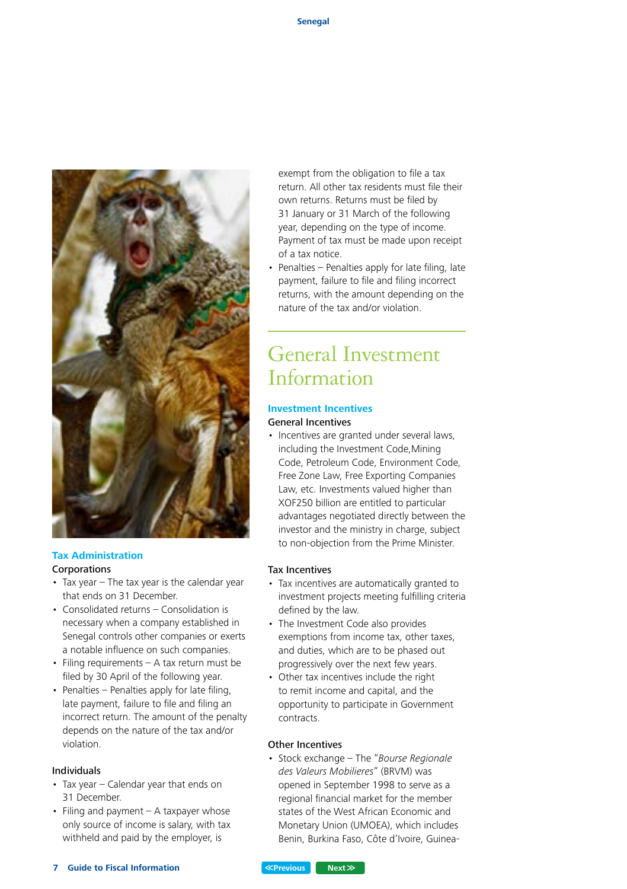

# **Tax Administration**

- Corporations
- Tax year The tax year is the calendar year that ends on 31 December.
- Consolidated returns Consolidation is necessary when a company established in Senegal controls other companies or exerts a notable influence on such companies.
- Filing requirements A tax return must be filed by 30 April of the following year.
- Penalties Penalties apply for late filing, late payment, failure to file and filing an incorrect return. The amount of the penalty depends on the nature of the tax and/or violation.

#### Individuals

- Tax year Calendar year that ends on 31 December.
- Filing and payment A taxpayer whose only source of income is salary, with tax withheld and paid by the employer, is

exempt from the obligation to file a tax return. All other tax residents must file their own returns. Returns must be filed by 31 January or 31 March of the following year, depending on the type of income. Payment of tax must be made upon receipt of a tax notice.

• Penalties – Penalties apply for late filing, late payment, failure to file and filing incorrect returns, with the amount depending on the nature of the tax and/or violation.

# General Investment Information

## **Investment Incentives**

#### General Incentives

• Incentives are granted under several laws, including the Investment Code,Mining Code, Petroleum Code, Environment Code, Free Zone Law, Free Exporting Companies Law, etc. Investments valued higher than XOF250 billion are entitled to particular advantages negotiated directly between the investor and the ministry in charge, subject to non-objection from the Prime Minister.

#### Tax Incentives

- Tax incentives are automatically granted to investment projects meeting fulfilling criteria defined by the law.
- The Investment Code also provides exemptions from income tax, other taxes, and duties, which are to be phased out progressively over the next few years.
- Other tax incentives include the right to remit income and capital, and the opportunity to participate in Government contracts.

#### Other Incentives

• Stock exchange – The "*Bourse Regionale des Valeurs Mobilieres*" (BRVM) was opened in September 1998 to serve as a regional financial market for the member states of the West African Economic and Monetary Union (UMOEA), which includes Benin, Burkina Faso, Côte d'Ivoire, Guinea-

#### **Previous Next**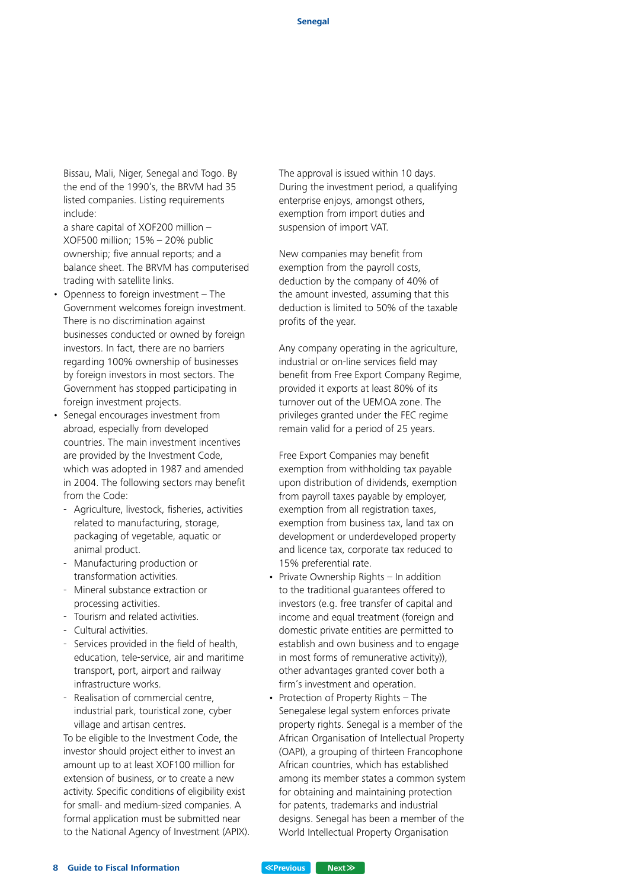Bissau, Mali, Niger, Senegal and Togo. By the end of the 1990's, the BRVM had 35 listed companies. Listing requirements include:

a share capital of XOF200 million – XOF500 million; 15% – 20% public ownership; five annual reports; and a balance sheet. The BRVM has computerised trading with satellite links.

- Openness to foreign investment The Government welcomes foreign investment. There is no discrimination against businesses conducted or owned by foreign investors. In fact, there are no barriers regarding 100% ownership of businesses by foreign investors in most sectors. The Government has stopped participating in foreign investment projects.
- Senegal encourages investment from abroad, especially from developed countries. The main investment incentives are provided by the Investment Code, which was adopted in 1987 and amended in 2004. The following sectors may benefit from the Code:
	- Agriculture, livestock, fisheries, activities related to manufacturing, storage, packaging of vegetable, aquatic or animal product.
	- Manufacturing production or transformation activities.
	- Mineral substance extraction or processing activities.
	- Tourism and related activities.
	- Cultural activities.
	- Services provided in the field of health, education, tele-service, air and maritime transport, port, airport and railway infrastructure works.
	- Realisation of commercial centre, industrial park, touristical zone, cyber village and artisan centres.

To be eligible to the Investment Code, the investor should project either to invest an amount up to at least XOF100 million for extension of business, or to create a new activity. Specific conditions of eligibility exist for small- and medium-sized companies. A formal application must be submitted near to the National Agency of Investment (APIX). The approval is issued within 10 days. During the investment period, a qualifying enterprise enjoys, amongst others, exemption from import duties and suspension of import VAT.

New companies may benefit from exemption from the payroll costs, deduction by the company of 40% of the amount invested, assuming that this deduction is limited to 50% of the taxable profits of the year.

Any company operating in the agriculture, industrial or on-line services field may benefit from Free Export Company Regime, provided it exports at least 80% of its turnover out of the UEMOA zone. The privileges granted under the FEC regime remain valid for a period of 25 years.

Free Export Companies may benefit exemption from withholding tax payable upon distribution of dividends, exemption from payroll taxes payable by employer, exemption from all registration taxes. exemption from business tax, land tax on development or underdeveloped property and licence tax, corporate tax reduced to 15% preferential rate.

- Private Ownership Rights In addition to the traditional guarantees offered to investors (e.g. free transfer of capital and income and equal treatment (foreign and domestic private entities are permitted to establish and own business and to engage in most forms of remunerative activity)) other advantages granted cover both a firm's investment and operation.
- Protection of Property Rights The Senegalese legal system enforces private property rights. Senegal is a member of the African Organisation of Intellectual Property (OAPI), a grouping of thirteen Francophone African countries, which has established among its member states a common system for obtaining and maintaining protection for patents, trademarks and industrial designs. Senegal has been a member of the World Intellectual Property Organisation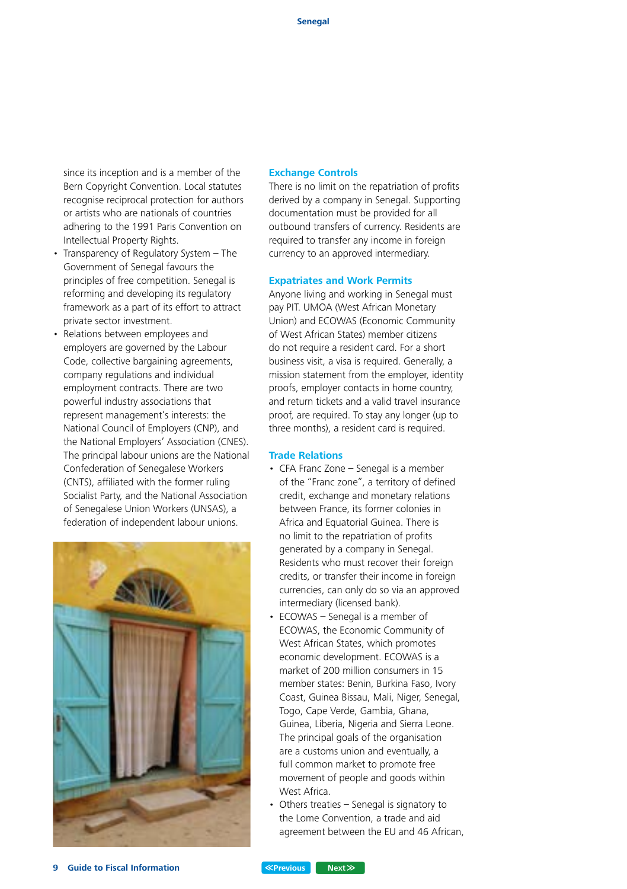since its inception and is a member of the Bern Copyright Convention. Local statutes recognise reciprocal protection for authors or artists who are nationals of countries adhering to the 1991 Paris Convention on Intellectual Property Rights.

- Transparency of Regulatory System The Government of Senegal favours the principles of free competition. Senegal is reforming and developing its regulatory framework as a part of its effort to attract private sector investment.
- Relations between employees and employers are governed by the Labour Code, collective bargaining agreements, company regulations and individual employment contracts. There are two powerful industry associations that represent management's interests: the National Council of Employers (CNP), and the National Employers' Association (CNES). The principal labour unions are the National Confederation of Senegalese Workers (CNTS), affiliated with the former ruling Socialist Party, and the National Association of Senegalese Union Workers (UNSAS), a federation of independent labour unions.



#### **Exchange Controls**

There is no limit on the repatriation of profits derived by a company in Senegal. Supporting documentation must be provided for all outbound transfers of currency. Residents are required to transfer any income in foreign currency to an approved intermediary.

#### **Expatriates and Work Permits**

Anyone living and working in Senegal must pay PIT. UMOA (West African Monetary Union) and ECOWAS (Economic Community of West African States) member citizens do not require a resident card. For a short business visit, a visa is required. Generally, a mission statement from the employer, identity proofs, employer contacts in home country, and return tickets and a valid travel insurance proof, are required. To stay any longer (up to three months), a resident card is required.

#### **Trade Relations**

- CFA Franc Zone Senegal is a member of the "Franc zone", a territory of defined credit, exchange and monetary relations between France, its former colonies in Africa and Equatorial Guinea. There is no limit to the repatriation of profits generated by a company in Senegal. Residents who must recover their foreign credits, or transfer their income in foreign currencies, can only do so via an approved intermediary (licensed bank).
- ECOWAS Senegal is a member of ECOWAS, the Economic Community of West African States, which promotes economic development. ECOWAS is a market of 200 million consumers in 15 member states: Benin, Burkina Faso, Ivory Coast, Guinea Bissau, Mali, Niger, Senegal, Togo, Cape Verde, Gambia, Ghana, Guinea, Liberia, Nigeria and Sierra Leone. The principal goals of the organisation are a customs union and eventually, a full common market to promote free movement of people and goods within West Africa.
- Others treaties Senegal is signatory to the Lome Convention, a trade and aid agreement between the EU and 46 African,